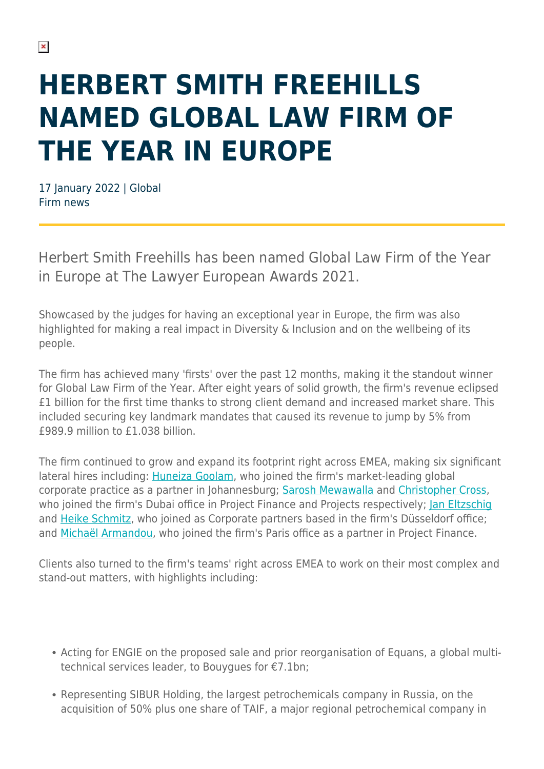## **HERBERT SMITH FREEHILLS NAMED GLOBAL LAW FIRM OF THE YEAR IN EUROPE**

17 January 2022 | Global Firm news

Herbert Smith Freehills has been named Global Law Firm of the Year in Europe at The Lawyer European Awards 2021.

Showcased by the judges for having an exceptional year in Europe, the firm was also highlighted for making a real impact in Diversity & Inclusion and on the wellbeing of its people.

The firm has achieved many 'firsts' over the past 12 months, making it the standout winner for Global Law Firm of the Year. After eight years of solid growth, the firm's revenue eclipsed £1 billion for the first time thanks to strong client demand and increased market share. This included securing key landmark mandates that caused its revenue to jump by 5% from £989.9 million to £1.038 billion.

The firm continued to grow and expand its footprint right across EMEA, making six significant lateral hires including: [Huneiza Goolam,](https://www.herbertsmithfreehills.com/our-people/huneiza-goolam) who joined the firm's market-leading global corporate practice as a partner in Johannesburg; [Sarosh Mewawalla](https://www.herbertsmithfreehills.com/our-people/sarosh-mewawalla) and [Christopher Cross,](https://www.herbertsmithfreehills.com/our-people/christopher-cross) who joined the firm's Dubai office in Project Finance and Projects respectively; Ian Eltzschig and [Heike Schmitz](https://www.herbertsmithfreehills.com/our-people/heike-schmitz), who joined as Corporate partners based in the firm's Düsseldorf office; and [Michaël Armandou](https://www.herbertsmithfreehills.com/our-people/michael-armandou), who joined the firm's Paris office as a partner in Project Finance.

Clients also turned to the firm's teams' right across EMEA to work on their most complex and stand-out matters, with highlights including:

- Acting for ENGIE on the proposed sale and prior reorganisation of Equans, a global multitechnical services leader, to Bouygues for €7.1bn;
- Representing SIBUR Holding, the largest petrochemicals company in Russia, on the acquisition of 50% plus one share of TAIF, a major regional petrochemical company in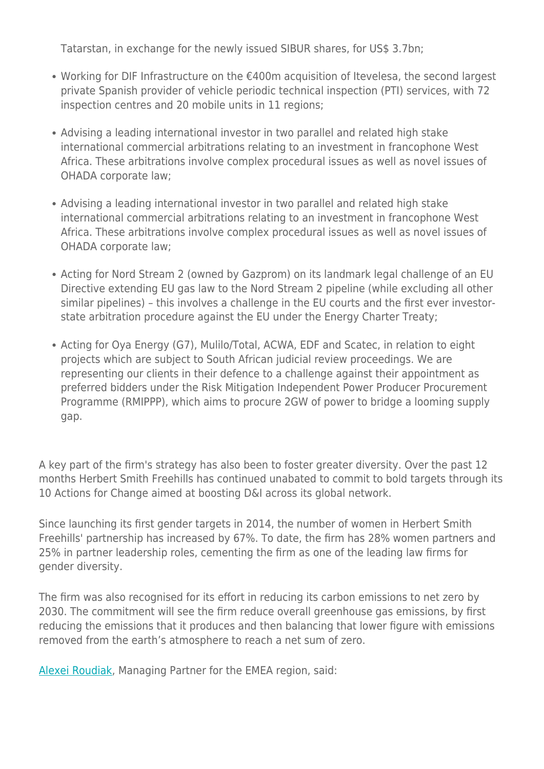Tatarstan, in exchange for the newly issued SIBUR shares, for US\$ 3.7bn;

- Working for DIF Infrastructure on the €400m acquisition of Itevelesa, the second largest private Spanish provider of vehicle periodic technical inspection (PTI) services, with 72 inspection centres and 20 mobile units in 11 regions;
- Advising a leading international investor in two parallel and related high stake international commercial arbitrations relating to an investment in francophone West Africa. These arbitrations involve complex procedural issues as well as novel issues of OHADA corporate law;
- Advising a leading international investor in two parallel and related high stake international commercial arbitrations relating to an investment in francophone West Africa. These arbitrations involve complex procedural issues as well as novel issues of OHADA corporate law;
- Acting for Nord Stream 2 (owned by Gazprom) on its landmark legal challenge of an EU Directive extending EU gas law to the Nord Stream 2 pipeline (while excluding all other similar pipelines) – this involves a challenge in the EU courts and the first ever investorstate arbitration procedure against the EU under the Energy Charter Treaty;
- Acting for Oya Energy (G7), Mulilo/Total, ACWA, EDF and Scatec, in relation to eight projects which are subject to South African judicial review proceedings. We are representing our clients in their defence to a challenge against their appointment as preferred bidders under the Risk Mitigation Independent Power Producer Procurement Programme (RMIPPP), which aims to procure 2GW of power to bridge a looming supply gap.

A key part of the firm's strategy has also been to foster greater diversity. Over the past 12 months Herbert Smith Freehills has continued unabated to commit to bold targets through its 10 Actions for Change aimed at boosting D&I across its global network.

Since launching its first gender targets in 2014, the number of women in Herbert Smith Freehills' partnership has increased by 67%. To date, the firm has 28% women partners and 25% in partner leadership roles, cementing the firm as one of the leading law firms for gender diversity.

The firm was also recognised for its effort in reducing its carbon emissions to net zero by 2030. The commitment will see the firm reduce overall greenhouse gas emissions, by first reducing the emissions that it produces and then balancing that lower figure with emissions removed from the earth's atmosphere to reach a net sum of zero.

[Alexei Roudiak,](https://www.herbertsmithfreehills.com/our-people/alexei-roudiak) Managing Partner for the EMEA region, said: